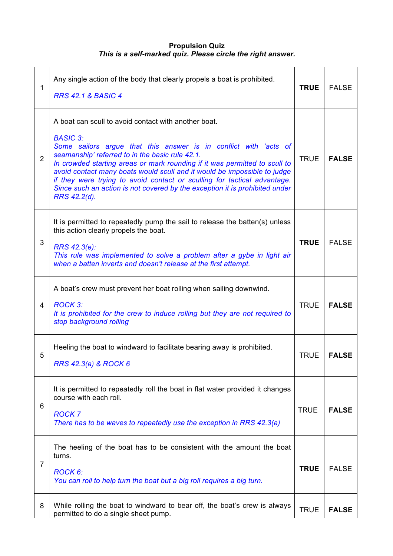## **Propulsion Quiz**  *This is a self-marked quiz. Please circle the right answer.*

| 1              | Any single action of the body that clearly propels a boat is prohibited.<br><b>RRS 42.1 &amp; BASIC 4</b>                                                                                                                                                                                                                                                                                                                                                                                                                           | <b>TRUE</b> | <b>FALSE</b> |
|----------------|-------------------------------------------------------------------------------------------------------------------------------------------------------------------------------------------------------------------------------------------------------------------------------------------------------------------------------------------------------------------------------------------------------------------------------------------------------------------------------------------------------------------------------------|-------------|--------------|
| $\overline{2}$ | A boat can scull to avoid contact with another boat.<br><b>BASIC 3:</b><br>Some sailors argue that this answer is in conflict with 'acts of<br>seamanship' referred to in the basic rule 42.1.<br>In crowded starting areas or mark rounding if it was permitted to scull to<br>avoid contact many boats would scull and it would be impossible to judge<br>if they were trying to avoid contact or sculling for tactical advantage.<br>Since such an action is not covered by the exception it is prohibited under<br>RRS 42.2(d). | <b>TRUE</b> | <b>FALSE</b> |
| 3              | It is permitted to repeatedly pump the sail to release the batten(s) unless<br>this action clearly propels the boat.<br>RRS 42.3(e):<br>This rule was implemented to solve a problem after a gybe in light air<br>when a batten inverts and doesn't release at the first attempt.                                                                                                                                                                                                                                                   | <b>TRUE</b> | <b>FALSE</b> |
| 4              | A boat's crew must prevent her boat rolling when sailing downwind.<br><b>ROCK 3:</b><br>It is prohibited for the crew to induce rolling but they are not required to<br>stop background rolling                                                                                                                                                                                                                                                                                                                                     | <b>TRUE</b> | <b>FALSE</b> |
| 5              | Heeling the boat to windward to facilitate bearing away is prohibited.<br>RRS 42.3(a) & ROCK 6                                                                                                                                                                                                                                                                                                                                                                                                                                      | <b>TRUE</b> | <b>FALSE</b> |
| 6              | It is permitted to repeatedly roll the boat in flat water provided it changes<br>course with each roll.<br><b>ROCK7</b><br>There has to be waves to repeatedly use the exception in RRS 42.3(a)                                                                                                                                                                                                                                                                                                                                     | <b>TRUE</b> | <b>FALSE</b> |
| 7              | The heeling of the boat has to be consistent with the amount the boat<br>turns.<br>ROCK 6:<br>You can roll to help turn the boat but a big roll requires a big turn.                                                                                                                                                                                                                                                                                                                                                                | <b>TRUE</b> | <b>FALSE</b> |
| 8              | While rolling the boat to windward to bear off, the boat's crew is always<br>permitted to do a single sheet pump.                                                                                                                                                                                                                                                                                                                                                                                                                   | <b>TRUE</b> | <b>FALSE</b> |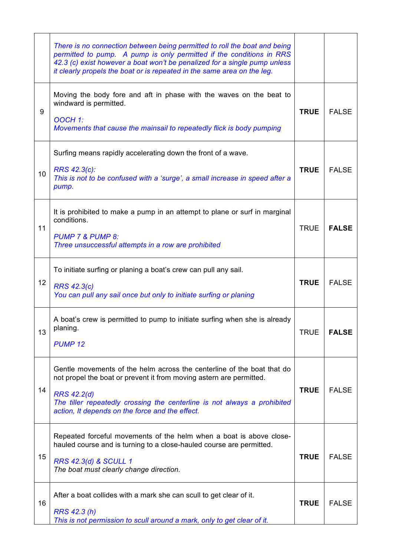|    | There is no connection between being permitted to roll the boat and being<br>permitted to pump. A pump is only permitted if the conditions in RRS<br>42.3 (c) exist however a boat won't be penalized for a single pump unless<br>it clearly propels the boat or is repeated in the same area on the leg. |             |              |
|----|-----------------------------------------------------------------------------------------------------------------------------------------------------------------------------------------------------------------------------------------------------------------------------------------------------------|-------------|--------------|
| 9  | Moving the body fore and aft in phase with the waves on the beat to<br>windward is permitted.<br>OOCH 1:<br>Movements that cause the mainsail to repeatedly flick is body pumping                                                                                                                         | <b>TRUE</b> | <b>FALSE</b> |
| 10 | Surfing means rapidly accelerating down the front of a wave.<br>RRS 42.3(c):<br>This is not to be confused with a 'surge', a small increase in speed after a<br>pump.                                                                                                                                     | <b>TRUE</b> | <b>FALSE</b> |
| 11 | It is prohibited to make a pump in an attempt to plane or surf in marginal<br>conditions.<br><b>PUMP 7 &amp; PUMP 8:</b><br>Three unsuccessful attempts in a row are prohibited                                                                                                                           | <b>TRUE</b> | <b>FALSE</b> |
| 12 | To initiate surfing or planing a boat's crew can pull any sail.<br><b>RRS 42.3(c)</b><br>You can pull any sail once but only to initiate surfing or planing                                                                                                                                               | <b>TRUE</b> | <b>FALSE</b> |
| 13 | A boat's crew is permitted to pump to initiate surfing when she is already<br>planing.<br><b>PUMP12</b>                                                                                                                                                                                                   | TRUE        | <b>FALSE</b> |
| 14 | Gentle movements of the helm across the centerline of the boat that do<br>not propel the boat or prevent it from moving astern are permitted.<br><b>RRS 42.2(d)</b><br>The tiller repeatedly crossing the centerline is not always a prohibited<br>action, It depends on the force and the effect.        | <b>TRUE</b> | <b>FALSE</b> |
| 15 | Repeated forceful movements of the helm when a boat is above close-<br>hauled course and is turning to a close-hauled course are permitted.<br>RRS 42.3(d) & SCULL 1<br>The boat must clearly change direction.                                                                                           | <b>TRUE</b> | <b>FALSE</b> |
| 16 | After a boat collides with a mark she can scull to get clear of it.<br>RRS 42.3 (h)<br>This is not permission to scull around a mark, only to get clear of it.                                                                                                                                            | <b>TRUE</b> | <b>FALSE</b> |